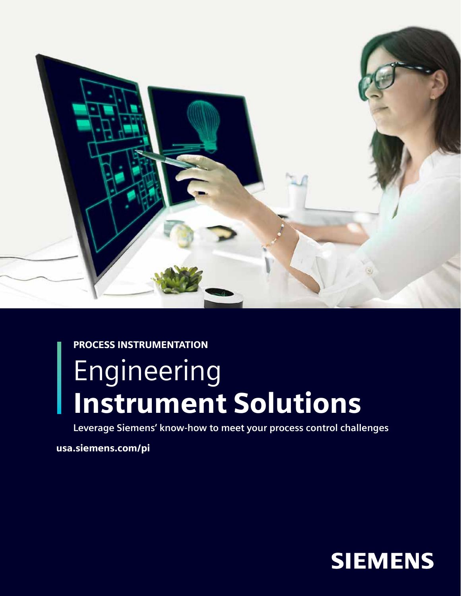

PROCESS INSTRUMENTATION

# Engineering Instrument Solutions

**Leverage Siemens' know-how to meet your process control challenges**

usa.siemens.com/pi

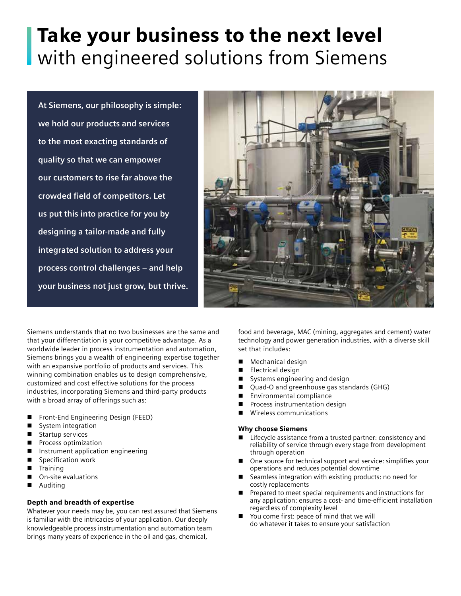# Take your business to the next level with engineered solutions from Siemens

**At Siemens, our philosophy is simple: we hold our products and services to the most exacting standards of quality so that we can empower our customers to rise far above the crowded field of competitors. Let us put this into practice for you by designing a tailor-made and fully integrated solution to address your process control challenges** – **and help your business not just grow, but thrive.**



Siemens understands that no two businesses are the same and that your differentiation is your competitive advantage. As a worldwide leader in process instrumentation and automation, Siemens brings you a wealth of engineering expertise together with an expansive portfolio of products and services. This winning combination enables us to design comprehensive, customized and cost effective solutions for the process industries, incorporating Siemens and third-party products with a broad array of offerings such as:

- Front-End Engineering Design (FEED)
- System integration
- Startup services
- Process optimization
- Instrument application engineering
- **n** Specification work
- **Training**
- On-site evaluations
- Auditing

### Depth and breadth of expertise

Whatever your needs may be, you can rest assured that Siemens is familiar with the intricacies of your application. Our deeply knowledgeable process instrumentation and automation team brings many years of experience in the oil and gas, chemical,

food and beverage, MAC (mining, aggregates and cement) water technology and power generation industries, with a diverse skill set that includes:

- $\blacksquare$  Mechanical design
- Electrical design
- systems engineering and design
- Quad-O and greenhouse gas standards (GHG)
- $\blacksquare$  Environmental compliance
- **n** Process instrumentation design
- Wireless communications

#### Why choose Siemens

- Lifecycle assistance from a trusted partner: consistency and reliability of service through every stage from development through operation
- One source for technical support and service: simplifies your operations and reduces potential downtime
- Seamless integration with existing products: no need for costly replacements
- Prepared to meet special requirements and instructions for any application: ensures a cost- and time-efficient installation regardless of complexity level
- You come first: peace of mind that we will do whatever it takes to ensure your satisfaction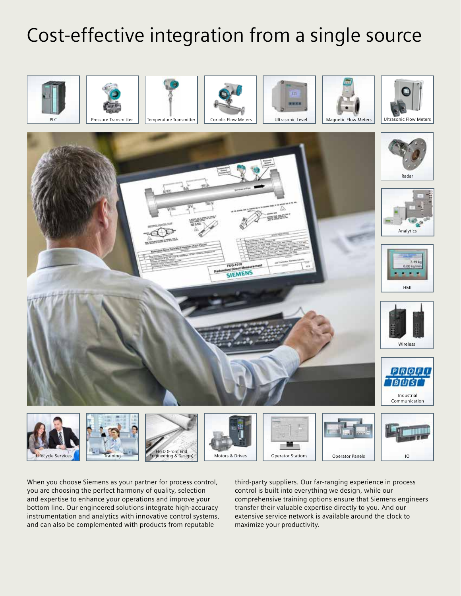## Cost-effective integration from a single source



When you choose Siemens as your partner for process control, you are choosing the perfect harmony of quality, selection and expertise to enhance your operations and improve your bottom line. Our engineered solutions integrate high-accuracy instrumentation and analytics with innovative control systems, and can also be complemented with products from reputable

third-party suppliers. Our far-ranging experience in process control is built into everything we design, while our comprehensive training options ensure that Siemens engineers transfer their valuable expertise directly to you. And our extensive service network is available around the clock to maximize your productivity.